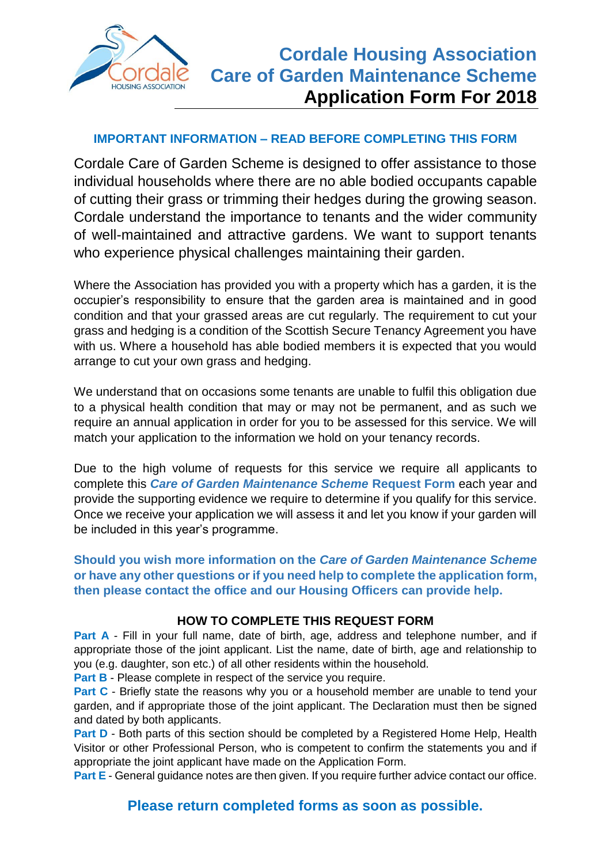

#### **IMPORTANT INFORMATION – READ BEFORE COMPLETING THIS FORM**

Cordale Care of Garden Scheme is designed to offer assistance to those individual households where there are no able bodied occupants capable of cutting their grass or trimming their hedges during the growing season. Cordale understand the importance to tenants and the wider community of well-maintained and attractive gardens. We want to support tenants who experience physical challenges maintaining their garden.

Where the Association has provided you with a property which has a garden, it is the occupier's responsibility to ensure that the garden area is maintained and in good condition and that your grassed areas are cut regularly. The requirement to cut your grass and hedging is a condition of the Scottish Secure Tenancy Agreement you have with us. Where a household has able bodied members it is expected that you would arrange to cut your own grass and hedging.

We understand that on occasions some tenants are unable to fulfil this obligation due to a physical health condition that may or may not be permanent, and as such we require an annual application in order for you to be assessed for this service. We will match your application to the information we hold on your tenancy records.

Due to the high volume of requests for this service we require all applicants to complete this *Care of Garden Maintenance Scheme* **Request Form** each year and provide the supporting evidence we require to determine if you qualify for this service. Once we receive your application we will assess it and let you know if your garden will be included in this year's programme.

**Should you wish more information on the** *Care of Garden Maintenance Scheme*  **or have any other questions or if you need help to complete the application form, then please contact the office and our Housing Officers can provide help.**

#### **HOW TO COMPLETE THIS REQUEST FORM**

**Part A** - Fill in your full name, date of birth, age, address and telephone number, and if appropriate those of the joint applicant. List the name, date of birth, age and relationship to you (e.g. daughter, son etc.) of all other residents within the household.

**Part B** - Please complete in respect of the service you require.

**Part C** - Briefly state the reasons why you or a household member are unable to tend your garden, and if appropriate those of the joint applicant. The Declaration must then be signed and dated by both applicants.

**Part D** - Both parts of this section should be completed by a Registered Home Help, Health Visitor or other Professional Person, who is competent to confirm the statements you and if appropriate the joint applicant have made on the Application Form.

**Part E** - General guidance notes are then given. If you require further advice contact our office.

### **Please return completed forms as soon as possible.**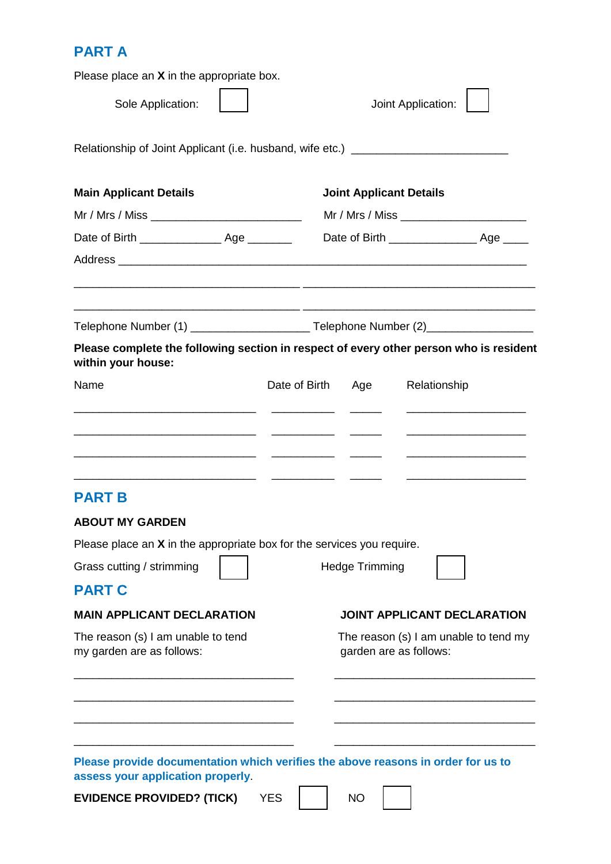# **PART A**

| Please place an $X$ in the appropriate box.                                                                           |                                         |                       |                                                                                                                         |  |
|-----------------------------------------------------------------------------------------------------------------------|-----------------------------------------|-----------------------|-------------------------------------------------------------------------------------------------------------------------|--|
| Sole Application:                                                                                                     | Joint Application:                      |                       |                                                                                                                         |  |
| Relationship of Joint Applicant (i.e. husband, wife etc.) ______________________                                      |                                         |                       |                                                                                                                         |  |
| <b>Main Applicant Details</b>                                                                                         | <b>Joint Applicant Details</b>          |                       |                                                                                                                         |  |
| Mr / Mrs / Miss _______________________________                                                                       | Mr / Mrs / Miss _______________________ |                       |                                                                                                                         |  |
|                                                                                                                       |                                         |                       |                                                                                                                         |  |
|                                                                                                                       |                                         |                       |                                                                                                                         |  |
|                                                                                                                       |                                         |                       |                                                                                                                         |  |
| Please complete the following section in respect of every other person who is resident<br>within your house:          |                                         |                       |                                                                                                                         |  |
| Name                                                                                                                  | Date of Birth Age                       |                       | Relationship                                                                                                            |  |
|                                                                                                                       |                                         |                       |                                                                                                                         |  |
| <b>PART B</b>                                                                                                         |                                         |                       | <u> Alexandro Alexandro Alexandro Alexandro Alexandro Alexandro Alexandro Alexandro Alexandro Alexandro Alexandro A</u> |  |
| <b>ABOUT MY GARDEN</b>                                                                                                |                                         |                       |                                                                                                                         |  |
| Please place an $X$ in the appropriate box for the services you require.                                              |                                         |                       |                                                                                                                         |  |
| Grass cutting / strimming                                                                                             |                                         | <b>Hedge Trimming</b> |                                                                                                                         |  |
| <b>PART C</b>                                                                                                         |                                         |                       |                                                                                                                         |  |
| <b>MAIN APPLICANT DECLARATION</b>                                                                                     |                                         |                       | <b>JOINT APPLICANT DECLARATION</b>                                                                                      |  |
| The reason (s) I am unable to tend<br>my garden are as follows:                                                       |                                         |                       | The reason (s) I am unable to tend my<br>garden are as follows:                                                         |  |
|                                                                                                                       |                                         |                       |                                                                                                                         |  |
|                                                                                                                       |                                         |                       |                                                                                                                         |  |
| Please provide documentation which verifies the above reasons in order for us to<br>assess your application properly. |                                         |                       |                                                                                                                         |  |

**EVIDENCE PROVIDED? (TICK)** YES NO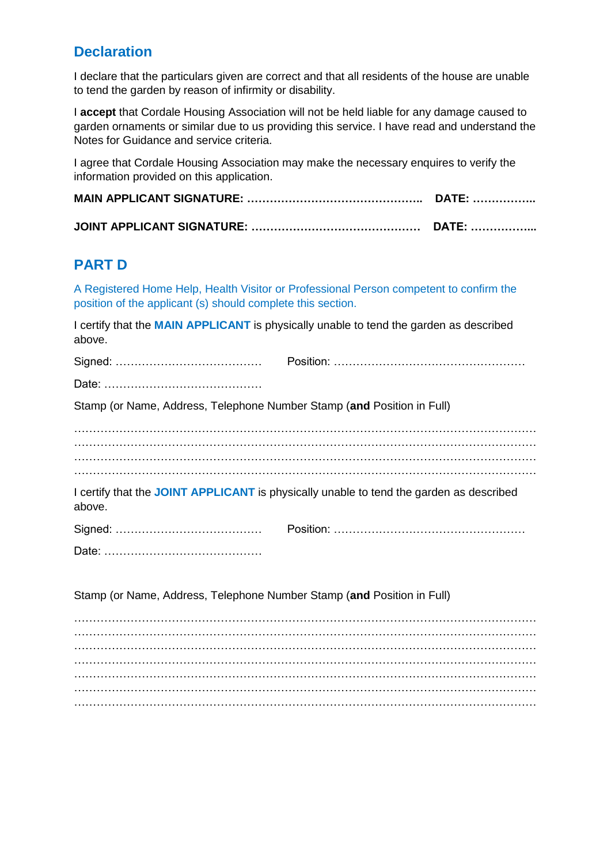### **Declaration**

I declare that the particulars given are correct and that all residents of the house are unable to tend the garden by reason of infirmity or disability.

I **accept** that Cordale Housing Association will not be held liable for any damage caused to garden ornaments or similar due to us providing this service. I have read and understand the Notes for Guidance and service criteria.

I agree that Cordale Housing Association may make the necessary enquires to verify the information provided on this application.

## **PART D**

A Registered Home Help, Health Visitor or Professional Person competent to confirm the position of the applicant (s) should complete this section.

I certify that the **MAIN APPLICANT** is physically unable to tend the garden as described above.

| Stamp (or Name, Address, Telephone Number Stamp (and Position in Full) |                                                                                         |
|------------------------------------------------------------------------|-----------------------------------------------------------------------------------------|
|                                                                        |                                                                                         |
|                                                                        |                                                                                         |
| above.                                                                 | I certify that the JOINT APPLICANT is physically unable to tend the garden as described |
|                                                                        |                                                                                         |
|                                                                        |                                                                                         |
| Stamp (or Name, Address, Telephone Number Stamp (and Position in Full) |                                                                                         |
|                                                                        |                                                                                         |
|                                                                        |                                                                                         |
|                                                                        |                                                                                         |
|                                                                        |                                                                                         |